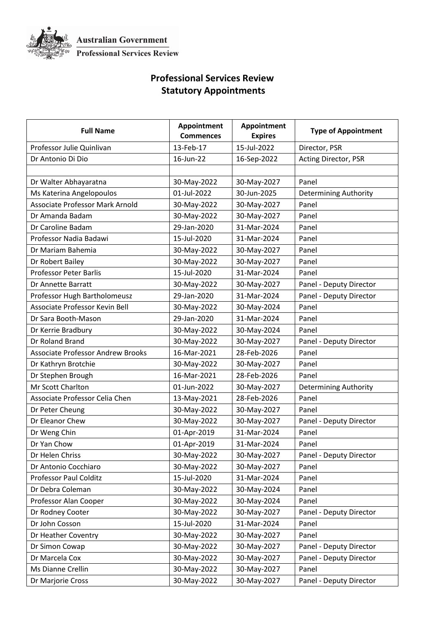

## **Professional Services Review Statutory Appointments**

| <b>Full Name</b>                         | Appointment<br><b>Commences</b> | Appointment<br><b>Expires</b> | <b>Type of Appointment</b>   |
|------------------------------------------|---------------------------------|-------------------------------|------------------------------|
| Professor Julie Quinlivan                | 13-Feb-17                       | 15-Jul-2022                   | Director, PSR                |
| Dr Antonio Di Dio                        | 16-Jun-22                       | 16-Sep-2022                   | Acting Director, PSR         |
|                                          |                                 |                               |                              |
| Dr Walter Abhayaratna                    | 30-May-2022                     | 30-May-2027                   | Panel                        |
| Ms Katerina Angelopoulos                 | 01-Jul-2022                     | 30-Jun-2025                   | <b>Determining Authority</b> |
| <b>Associate Professor Mark Arnold</b>   | 30-May-2022                     | 30-May-2027                   | Panel                        |
| Dr Amanda Badam                          | 30-May-2022                     | 30-May-2027                   | Panel                        |
| Dr Caroline Badam                        | 29-Jan-2020                     | 31-Mar-2024                   | Panel                        |
| Professor Nadia Badawi                   | 15-Jul-2020                     | 31-Mar-2024                   | Panel                        |
| Dr Mariam Bahemia                        | 30-May-2022                     | 30-May-2027                   | Panel                        |
| Dr Robert Bailey                         | 30-May-2022                     | 30-May-2027                   | Panel                        |
| <b>Professor Peter Barlis</b>            | 15-Jul-2020                     | 31-Mar-2024                   | Panel                        |
| Dr Annette Barratt                       | 30-May-2022                     | 30-May-2027                   | Panel - Deputy Director      |
| Professor Hugh Bartholomeusz             | 29-Jan-2020                     | 31-Mar-2024                   | Panel - Deputy Director      |
| Associate Professor Kevin Bell           | 30-May-2022                     | 30-May-2024                   | Panel                        |
| Dr Sara Booth-Mason                      | 29-Jan-2020                     | 31-Mar-2024                   | Panel                        |
| Dr Kerrie Bradbury                       | 30-May-2022                     | 30-May-2024                   | Panel                        |
| Dr Roland Brand                          | 30-May-2022                     | 30-May-2027                   | Panel - Deputy Director      |
| <b>Associate Professor Andrew Brooks</b> | 16-Mar-2021                     | 28-Feb-2026                   | Panel                        |
| Dr Kathryn Brotchie                      | 30-May-2022                     | 30-May-2027                   | Panel                        |
| Dr Stephen Brough                        | 16-Mar-2021                     | 28-Feb-2026                   | Panel                        |
| Mr Scott Charlton                        | 01-Jun-2022                     | 30-May-2027                   | <b>Determining Authority</b> |
| Associate Professor Celia Chen           | 13-May-2021                     | 28-Feb-2026                   | Panel                        |
| Dr Peter Cheung                          | 30-May-2022                     | 30-May-2027                   | Panel                        |
| Dr Eleanor Chew                          | 30-May-2022                     | 30-May-2027                   | Panel - Deputy Director      |
| Dr Weng Chin                             | 01-Apr-2019                     | 31-Mar-2024                   | Panel                        |
| Dr Yan Chow                              | 01-Apr-2019                     | 31-Mar-2024                   | Panel                        |
| Dr Helen Chriss                          | 30-May-2022                     | 30-May-2027                   | Panel - Deputy Director      |
| Dr Antonio Cocchiaro                     | 30-May-2022                     | 30-May-2027                   | Panel                        |
| <b>Professor Paul Colditz</b>            | 15-Jul-2020                     | 31-Mar-2024                   | Panel                        |
| Dr Debra Coleman                         | 30-May-2022                     | 30-May-2024                   | Panel                        |
| Professor Alan Cooper                    | 30-May-2022                     | 30-May-2024                   | Panel                        |
| Dr Rodney Cooter                         | 30-May-2022                     | 30-May-2027                   | Panel - Deputy Director      |
| Dr John Cosson                           | 15-Jul-2020                     | 31-Mar-2024                   | Panel                        |
| Dr Heather Coventry                      | 30-May-2022                     | 30-May-2027                   | Panel                        |
| Dr Simon Cowap                           | 30-May-2022                     | 30-May-2027                   | Panel - Deputy Director      |
| Dr Marcela Cox                           | 30-May-2022                     | 30-May-2027                   | Panel - Deputy Director      |
| Ms Dianne Crellin                        | 30-May-2022                     | 30-May-2027                   | Panel                        |
| Dr Marjorie Cross                        | 30-May-2022                     | 30-May-2027                   | Panel - Deputy Director      |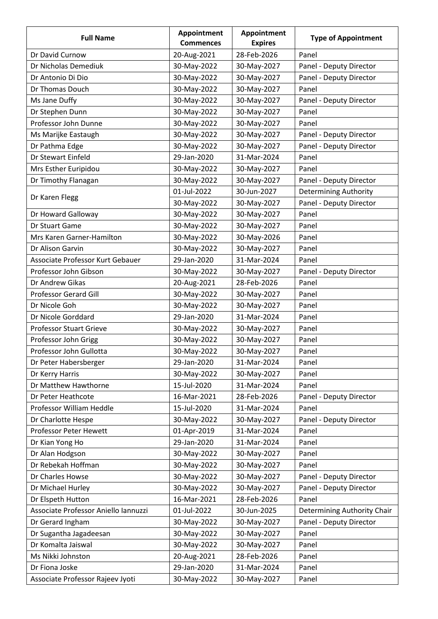| <b>Full Name</b>                     | Appointment<br><b>Commences</b> | Appointment<br><b>Expires</b> | <b>Type of Appointment</b>   |
|--------------------------------------|---------------------------------|-------------------------------|------------------------------|
| Dr David Curnow                      | 20-Aug-2021                     | 28-Feb-2026                   | Panel                        |
| Dr Nicholas Demediuk                 | 30-May-2022                     | 30-May-2027                   | Panel - Deputy Director      |
| Dr Antonio Di Dio                    | 30-May-2022                     | 30-May-2027                   | Panel - Deputy Director      |
| Dr Thomas Douch                      | 30-May-2022                     | 30-May-2027                   | Panel                        |
| Ms Jane Duffy                        | 30-May-2022                     | 30-May-2027                   | Panel - Deputy Director      |
| Dr Stephen Dunn                      | 30-May-2022                     | 30-May-2027                   | Panel                        |
| Professor John Dunne                 | 30-May-2022                     | 30-May-2027                   | Panel                        |
| Ms Marijke Eastaugh                  | 30-May-2022                     | 30-May-2027                   | Panel - Deputy Director      |
| Dr Pathma Edge                       | 30-May-2022                     | 30-May-2027                   | Panel - Deputy Director      |
| Dr Stewart Einfeld                   | 29-Jan-2020                     | 31-Mar-2024                   | Panel                        |
| Mrs Esther Euripidou                 | 30-May-2022                     | 30-May-2027                   | Panel                        |
| Dr Timothy Flanagan                  | 30-May-2022                     | 30-May-2027                   | Panel - Deputy Director      |
|                                      | 01-Jul-2022                     | 30-Jun-2027                   | <b>Determining Authority</b> |
| Dr Karen Flegg                       | 30-May-2022                     | 30-May-2027                   | Panel - Deputy Director      |
| Dr Howard Galloway                   | 30-May-2022                     | 30-May-2027                   | Panel                        |
| Dr Stuart Game                       | 30-May-2022                     | 30-May-2027                   | Panel                        |
| Mrs Karen Garner-Hamilton            | 30-May-2022                     | 30-May-2026                   | Panel                        |
| Dr Alison Garvin                     | 30-May-2022                     | 30-May-2027                   | Panel                        |
| Associate Professor Kurt Gebauer     | 29-Jan-2020                     | 31-Mar-2024                   | Panel                        |
| Professor John Gibson                | 30-May-2022                     | 30-May-2027                   | Panel - Deputy Director      |
| Dr Andrew Gikas                      | 20-Aug-2021                     | 28-Feb-2026                   | Panel                        |
| <b>Professor Gerard Gill</b>         | 30-May-2022                     | 30-May-2027                   | Panel                        |
| Dr Nicole Goh                        | 30-May-2022                     | 30-May-2027                   | Panel                        |
| Dr Nicole Gorddard                   | 29-Jan-2020                     | 31-Mar-2024                   | Panel                        |
| <b>Professor Stuart Grieve</b>       | 30-May-2022                     | 30-May-2027                   | Panel                        |
| Professor John Grigg                 | 30-May-2022                     | 30-May-2027                   | Panel                        |
| Professor John Gullotta              | 30-May-2022                     | 30-May-2027                   | Panel                        |
| Dr Peter Habersberger                | 29-Jan-2020                     | 31-Mar-2024                   | Panel                        |
| Dr Kerry Harris                      | 30-May-2022                     | 30-May-2027                   | Panel                        |
| Dr Matthew Hawthorne                 | 15-Jul-2020                     | 31-Mar-2024                   | Panel                        |
| Dr Peter Heathcote                   | 16-Mar-2021                     | 28-Feb-2026                   | Panel - Deputy Director      |
| Professor William Heddle             | 15-Jul-2020                     | 31-Mar-2024                   | Panel                        |
| Dr Charlotte Hespe                   | 30-May-2022                     | 30-May-2027                   | Panel - Deputy Director      |
| Professor Peter Hewett               | 01-Apr-2019                     | 31-Mar-2024                   | Panel                        |
| Dr Kian Yong Ho                      | 29-Jan-2020                     | 31-Mar-2024                   | Panel                        |
| Dr Alan Hodgson                      | 30-May-2022                     | 30-May-2027                   | Panel                        |
| Dr Rebekah Hoffman                   | 30-May-2022                     | 30-May-2027                   | Panel                        |
| Dr Charles Howse                     | 30-May-2022                     | 30-May-2027                   | Panel - Deputy Director      |
| Dr Michael Hurley                    | 30-May-2022                     | 30-May-2027                   | Panel - Deputy Director      |
| Dr Elspeth Hutton                    | 16-Mar-2021                     | 28-Feb-2026                   | Panel                        |
| Associate Professor Aniello Iannuzzi | 01-Jul-2022                     | 30-Jun-2025                   | Determining Authority Chair  |
| Dr Gerard Ingham                     | 30-May-2022                     | 30-May-2027                   | Panel - Deputy Director      |
| Dr Sugantha Jagadeesan               | 30-May-2022                     | 30-May-2027                   | Panel                        |
| Dr Komalta Jaiswal                   | 30-May-2022                     | 30-May-2027                   | Panel                        |
| Ms Nikki Johnston                    | 20-Aug-2021                     | 28-Feb-2026                   | Panel                        |
| Dr Fiona Joske                       | 29-Jan-2020                     | 31-Mar-2024                   | Panel                        |
| Associate Professor Rajeev Jyoti     | 30-May-2022                     | 30-May-2027                   | Panel                        |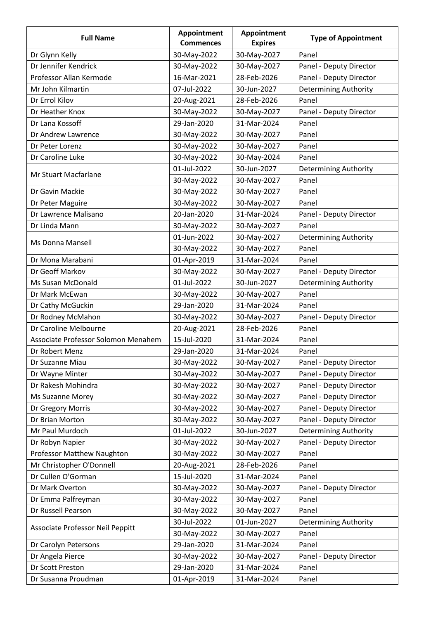| <b>Full Name</b>                    | Appointment<br><b>Commences</b> | Appointment<br><b>Expires</b> | <b>Type of Appointment</b>   |
|-------------------------------------|---------------------------------|-------------------------------|------------------------------|
| Dr Glynn Kelly                      | 30-May-2022                     | 30-May-2027                   | Panel                        |
| Dr Jennifer Kendrick                | 30-May-2022                     | 30-May-2027                   | Panel - Deputy Director      |
| Professor Allan Kermode             | 16-Mar-2021                     | 28-Feb-2026                   | Panel - Deputy Director      |
| Mr John Kilmartin                   | 07-Jul-2022                     | 30-Jun-2027                   | <b>Determining Authority</b> |
| Dr Errol Kilov                      | 20-Aug-2021                     | 28-Feb-2026                   | Panel                        |
| Dr Heather Knox                     | 30-May-2022                     | 30-May-2027                   | Panel - Deputy Director      |
| Dr Lana Kossoff                     | 29-Jan-2020                     | 31-Mar-2024                   | Panel                        |
| Dr Andrew Lawrence                  | 30-May-2022                     | 30-May-2027                   | Panel                        |
| Dr Peter Lorenz                     | 30-May-2022                     | 30-May-2027                   | Panel                        |
| Dr Caroline Luke                    | 30-May-2022                     | 30-May-2024                   | Panel                        |
|                                     | 01-Jul-2022                     | 30-Jun-2027                   | <b>Determining Authority</b> |
| Mr Stuart Macfarlane                | 30-May-2022                     | 30-May-2027                   | Panel                        |
| Dr Gavin Mackie                     | 30-May-2022                     | 30-May-2027                   | Panel                        |
| Dr Peter Maguire                    | 30-May-2022                     | 30-May-2027                   | Panel                        |
| Dr Lawrence Malisano                | 20-Jan-2020                     | 31-Mar-2024                   | Panel - Deputy Director      |
| Dr Linda Mann                       | 30-May-2022                     | 30-May-2027                   | Panel                        |
|                                     | 01-Jun-2022                     | 30-May-2027                   | <b>Determining Authority</b> |
| Ms Donna Mansell                    | 30-May-2022                     | 30-May-2027                   | Panel                        |
| Dr Mona Marabani                    | 01-Apr-2019                     | 31-Mar-2024                   | Panel                        |
| Dr Geoff Markov                     | 30-May-2022                     | 30-May-2027                   | Panel - Deputy Director      |
| Ms Susan McDonald                   | 01-Jul-2022                     | 30-Jun-2027                   | <b>Determining Authority</b> |
| Dr Mark McEwan                      | 30-May-2022                     | 30-May-2027                   | Panel                        |
| Dr Cathy McGuckin                   | 29-Jan-2020                     | 31-Mar-2024                   | Panel                        |
| Dr Rodney McMahon                   | 30-May-2022                     | 30-May-2027                   | Panel - Deputy Director      |
| Dr Caroline Melbourne               | 20-Aug-2021                     | 28-Feb-2026                   | Panel                        |
| Associate Professor Solomon Menahem | 15-Jul-2020                     | 31-Mar-2024                   | Panel                        |
| Dr Robert Menz                      | 29-Jan-2020                     | 31-Mar-2024                   | Panel                        |
| Dr Suzanne Miau                     | 30-May-2022                     | 30-May-2027                   | Panel - Deputy Director      |
| Dr Wayne Minter                     | 30-May-2022                     | 30-May-2027                   | Panel - Deputy Director      |
| Dr Rakesh Mohindra                  | 30-May-2022                     | 30-May-2027                   | Panel - Deputy Director      |
| Ms Suzanne Morey                    | 30-May-2022                     | 30-May-2027                   | Panel - Deputy Director      |
| Dr Gregory Morris                   | 30-May-2022                     | 30-May-2027                   | Panel - Deputy Director      |
| Dr Brian Morton                     | 30-May-2022                     | 30-May-2027                   | Panel - Deputy Director      |
| Mr Paul Murdoch                     | 01-Jul-2022                     | 30-Jun-2027                   | <b>Determining Authority</b> |
| Dr Robyn Napier                     | 30-May-2022                     | 30-May-2027                   | Panel - Deputy Director      |
| Professor Matthew Naughton          | 30-May-2022                     | 30-May-2027                   | Panel                        |
| Mr Christopher O'Donnell            | 20-Aug-2021                     | 28-Feb-2026                   | Panel                        |
| Dr Cullen O'Gorman                  | 15-Jul-2020                     | 31-Mar-2024                   | Panel                        |
| Dr Mark Overton                     | 30-May-2022                     | 30-May-2027                   | Panel - Deputy Director      |
| Dr Emma Palfreyman                  | 30-May-2022                     | 30-May-2027                   | Panel                        |
| Dr Russell Pearson                  | 30-May-2022                     | 30-May-2027                   | Panel                        |
| Associate Professor Neil Peppitt    | 30-Jul-2022                     | 01-Jun-2027                   | <b>Determining Authority</b> |
|                                     | 30-May-2022                     | 30-May-2027                   | Panel                        |
| Dr Carolyn Petersons                | 29-Jan-2020                     | 31-Mar-2024                   | Panel                        |
| Dr Angela Pierce                    | 30-May-2022                     | 30-May-2027                   | Panel - Deputy Director      |
| Dr Scott Preston                    | 29-Jan-2020                     | 31-Mar-2024                   | Panel                        |
| Dr Susanna Proudman                 | 01-Apr-2019                     | 31-Mar-2024                   | Panel                        |